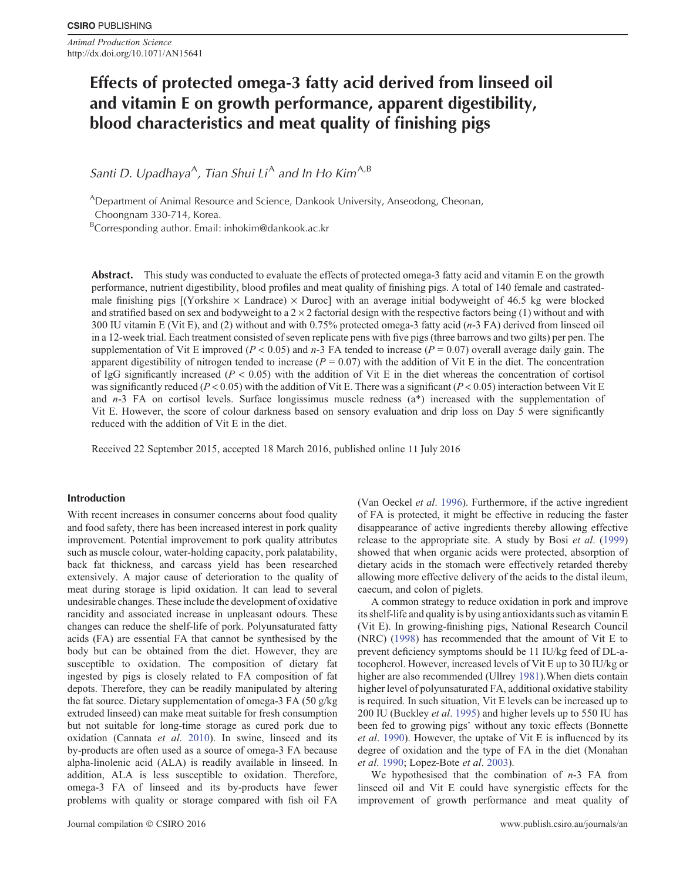*Animal Production Science* http://dx.doi.org/10.1071/AN15641

# **Effects of protected omega-3 fatty acid derived from linseed oil and vitamin E on growth performance, apparent digestibility, blood characteristics and meat quality of finishing pigs**

Santi D. Upadhaya<sup>A</sup>, Tian Shui Li<sup>A</sup> and In Ho Kim<sup>A,B</sup>

<sup>A</sup>Department of Animal Resource and Science, Dankook University, Anseodong, Cheonan, Choongnam 330-714, Korea.

<sup>B</sup>Corresponding author. Email: [inhokim@dankook.ac.kr](mailto:inhokim@dankook.ac.kr)

**Abstract.** This study was conducted to evaluate the effects of protected omega-3 fatty acid and vitamin E on the growth performance, nutrient digestibility, blood profiles and meat quality of finishing pigs. A total of 140 female and castratedmale finishing pigs  $[(Yorkshire \times Landrace) \times Duroc]$  with an average initial bodyweight of 46.5 kg were blocked and stratified based on sex and bodyweight to a  $2 \times 2$  factorial design with the respective factors being (1) without and with 300 IU vitamin E (Vit E), and (2) without and with 0.75% protected omega-3 fatty acid (*n*-3 FA) derived from linseed oil in a 12-week trial. Each treatment consisted of seven replicate pens with five pigs (three barrows and two gilts) per pen. The supplementation of Vit E improved (*P* < 0.05) and *n*-3 FA tended to increase (*P* = 0.07) overall average daily gain. The apparent digestibility of nitrogen tended to increase  $(P = 0.07)$  with the addition of Vit E in the diet. The concentration of IgG significantly increased ( $P < 0.05$ ) with the addition of Vit E in the diet whereas the concentration of cortisol was significantly reduced ( $P < 0.05$ ) with the addition of Vit E. There was a significant ( $P < 0.05$ ) interaction between Vit E. and *n*-3 FA on cortisol levels. Surface longissimus muscle redness (a\*) increased with the supplementation of Vit E. However, the score of colour darkness based on sensory evaluation and drip loss on Day 5 were significantly reduced with the addition of Vit E in the diet.

Received 22 September 2015, accepted 18 March 2016, published online 11 July 2016

# **Introduction**

With recent increases in consumer concerns about food quality and food safety, there has been increased interest in pork quality improvement. Potential improvement to pork quality attributes such as muscle colour, water-holding capacity, pork palatability, back fat thickness, and carcass yield has been researched extensively. A major cause of deterioration to the quality of meat during storage is lipid oxidation. It can lead to several undesirable changes. These include the development of oxidative rancidity and associated increase in unpleasant odours. These changes can reduce the shelf-life of pork. Polyunsaturated fatty acids (FA) are essential FA that cannot be synthesised by the body but can be obtained from the diet. However, they are susceptible to oxidation. The composition of dietary fat ingested by pigs is closely related to FA composition of fat depots. Therefore, they can be readily manipulated by altering the fat source. Dietary supplementation of omega-3 FA (50 g/kg extruded linseed) can make meat suitable for fresh consumption but not suitable for long-time storage as cured pork due to oxidation (Cannata *et al*. [2010](#page-5-0)). In swine, linseed and its by-products are often used as a source of omega-3 FA because alpha-linolenic acid (ALA) is readily available in linseed. In addition, ALA is less susceptible to oxidation. Therefore, omega-3 FA of linseed and its by-products have fewer problems with quality or storage compared with fish oil FA

(Van Oeckel *et al*. [1996\)](#page-5-0). Furthermore, if the active ingredient of FA is protected, it might be effective in reducing the faster disappearance of active ingredients thereby allowing effective release to the appropriate site. A study by Bosi *et al*. ([1999\)](#page-5-0) showed that when organic acids were protected, absorption of dietary acids in the stomach were effectively retarded thereby allowing more effective delivery of the acids to the distal ileum, caecum, and colon of piglets.

A common strategy to reduce oxidation in pork and improve its shelf-life and quality is by using antioxidants such as vitamin E (Vit E). In growing-finishing pigs, National Research Council (NRC) ([1998\)](#page-5-0) has recommended that the amount of Vit E to prevent deficiency symptoms should be 11 IU/kg feed of DL-atocopherol. However, increased levels of Vit E up to 30 IU/kg or higher are also recommended (Ullrey [1981\)](#page-5-0).When diets contain higher level of polyunsaturated FA, additional oxidative stability is required. In such situation, Vit E levels can be increased up to 200 IU (Buckley *et al*. [1995\)](#page-5-0) and higher levels up to 550 IU has been fed to growing pigs' without any toxic effects (Bonnette *et al*. [1990\)](#page-5-0). However, the uptake of Vit E is influenced by its degree of oxidation and the type of FA in the diet (Monahan *et al*. [1990](#page-5-0); Lopez-Bote *et al*. [2003\)](#page-5-0).

We hypothesised that the combination of *n*-3 FA from linseed oil and Vit E could have synergistic effects for the improvement of growth performance and meat quality of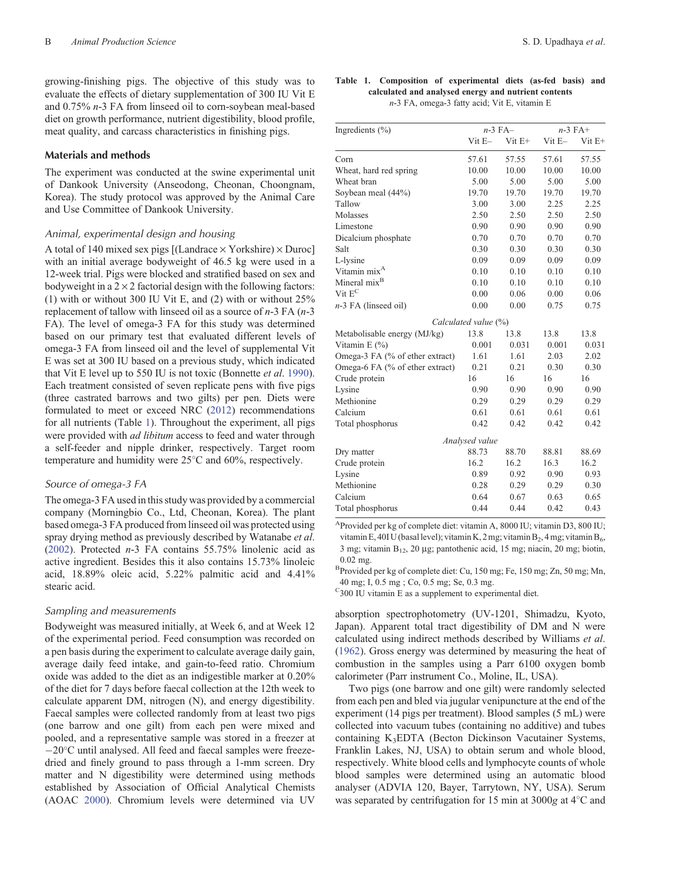growing-finishing pigs. The objective of this study was to evaluate the effects of dietary supplementation of 300 IU Vit E and 0.75% *n*-3 FA from linseed oil to corn-soybean meal-based diet on growth performance, nutrient digestibility, blood profile, meat quality, and carcass characteristics in finishing pigs.

## **Materials and methods**

The experiment was conducted at the swine experimental unit of Dankook University (Anseodong, Cheonan, Choongnam, Korea). The study protocol was approved by the Animal Care and Use Committee of Dankook University.

## *Animal, experimental design and housing*

A total of 140 mixed sex pigs  $[(Landrace \times Yorkshire) \times Duroc]$ with an initial average bodyweight of 46.5 kg were used in a 12-week trial. Pigs were blocked and stratified based on sex and bodyweight in a  $2 \times 2$  factorial design with the following factors: (1) with or without 300 IU Vit E, and (2) with or without 25% replacement of tallow with linseed oil as a source of *n*-3 FA (*n*-3 FA). The level of omega-3 FA for this study was determined based on our primary test that evaluated different levels of omega-3 FA from linseed oil and the level of supplemental Vit E was set at 300 IU based on a previous study, which indicated that Vit E level up to 550 IU is not toxic (Bonnette *et al*. [1990](#page-5-0)). Each treatment consisted of seven replicate pens with five pigs (three castrated barrows and two gilts) per pen. Diets were formulated to meet or exceed NRC [\(2012](#page-5-0)) recommendations for all nutrients (Table 1). Throughout the experiment, all pigs were provided with *ad libitum* access to feed and water through a self-feeder and nipple drinker, respectively. Target room temperature and humidity were 25 C and 60%, respectively.

## *Source of omega-3 FA*

The omega-3 FA used in this study was provided by a commercial company (Morningbio Co., Ltd, Cheonan, Korea). The plant based omega-3 FA produced from linseed oil was protected using spray drying method as previously described by Watanabe *et al*. ([2002\)](#page-5-0). Protected *n*-3 FA contains 55.75% linolenic acid as active ingredient. Besides this it also contains 15.73% linoleic acid, 18.89% oleic acid, 5.22% palmitic acid and 4.41% stearic acid.

## *Sampling and measurements*

Bodyweight was measured initially, at Week 6, and at Week 12 of the experimental period. Feed consumption was recorded on a pen basis during the experiment to calculate average daily gain, average daily feed intake, and gain-to-feed ratio. Chromium oxide was added to the diet as an indigestible marker at 0.20% of the diet for 7 days before faecal collection at the 12th week to calculate apparent DM, nitrogen (N), and energy digestibility. Faecal samples were collected randomly from at least two pigs (one barrow and one gilt) from each pen were mixed and pooled, and a representative sample was stored in a freezer at -20°C until analysed. All feed and faecal samples were freezedried and finely ground to pass through a 1-mm screen. Dry matter and N digestibility were determined using methods established by Association of Official Analytical Chemists (AOAC [2000\)](#page-5-0). Chromium levels were determined via UV

| Ingredients $(\% )$             |                      | $n-3$ FA $-$ | $n-3$ FA+    |             |  |
|---------------------------------|----------------------|--------------|--------------|-------------|--|
|                                 | $V$ it $E-$          | $V$ it $E+$  | $V$ it E $-$ | $V$ it $E+$ |  |
| Corn                            | 57.61                | 57.55        | 57.61        | 57.55       |  |
| Wheat, hard red spring          | 10.00                | 10.00        | 10.00        | 10.00       |  |
| Wheat bran                      | 5.00                 | 5.00         | 5.00         | 5.00        |  |
| Soybean meal (44%)              | 19.70                | 19.70        | 19.70        | 19.70       |  |
| Tallow                          | 3.00                 | 3.00         | 2.25         | 2.25        |  |
| Molasses                        | 2.50                 | 2.50         | 2.50         | 2.50        |  |
| Limestone                       | 0.90                 | 0.90         | 0.90         | 0.90        |  |
| Dicalcium phosphate             | 0.70                 | 0.70         | 0.70         | 0.70        |  |
| Salt                            | 0.30                 | 0.30         | 0.30         | 0.30        |  |
| L-lysine                        | 0.09                 | 0.09         | 0.09         | 0.09        |  |
| Vitamin mix <sup>A</sup>        | 0.10                 | 0.10         | 0.10         | 0.10        |  |
| Mineral mix <sup>B</sup>        | 0.10                 | 0.10         | 0.10         | 0.10        |  |
| Vit $E^C$                       | 0.00                 | 0.06         | 0.00         | 0.06        |  |
| $n-3$ FA (linseed oil)          | 0.00                 | 0.00         | 0.75         | 0.75        |  |
|                                 | Calculated value (%) |              |              |             |  |
| Metabolisable energy (MJ/kg)    | 13.8                 | 13.8         | 13.8         | 13.8        |  |
| Vitamin $E(\%)$                 | 0.001                | 0.031        | 0.001        | 0.031       |  |
| Omega-3 FA (% of ether extract) | 1.61                 | 1.61         | 2.03         | 2.02        |  |
| Omega-6 FA (% of ether extract) | 0.21                 | 0.21         | 0.30         | 0.30        |  |
| Crude protein                   | 16                   | 16           | 16           | 16          |  |
| Lysine                          | 0.90                 | 0.90         | 0.90         | 0.90        |  |
| Methionine                      | 0.29                 | 0.29         | 0.29         | 0.29        |  |
| Calcium                         | 0.61                 | 0.61         | 0.61         | 0.61        |  |
| Total phosphorus                | 0.42                 | 0.42         | 0.42         | 0.42        |  |
|                                 | Analysed value       |              |              |             |  |
| Dry matter                      | 88.73                | 88.70        | 88.81        | 88.69       |  |
| Crude protein                   | 16.2                 | 16.2         | 16.3         | 16.2        |  |
| Lysine                          | 0.89                 | 0.92         | 0.90         | 0.93        |  |
| Methionine                      | 0.28                 | 0.29         | 0.29         | 0.30        |  |
| Calcium                         | 0.64                 | 0.67         | 0.63         | 0.65        |  |
| Total phosphorus                | 0.44                 | 0.44         | 0.42         | 0.43        |  |

AProvided per kg of complete diet: vitamin A, 8000 IU; vitamin D3, 800 IU; vitamin E,  $40I$  U (basal level); vitamin K,  $2$  mg; vitamin  $B_2$ ,  $4$  mg; vitamin  $B_6$ , 3 mg; vitamin  $B_{12}$ , 20 µg; pantothenic acid, 15 mg; niacin, 20 mg; biotin, 0.02 mg.

<sup>B</sup>Provided per kg of complete diet: Cu, 150 mg; Fe, 150 mg; Zn, 50 mg; Mn, 40 mg; I, 0.5 mg ; Co, 0.5 mg; Se, 0.3 mg.

 $C_{300}$  IU vitamin E as a supplement to experimental diet.

absorption spectrophotometry (UV-1201, Shimadzu, Kyoto, Japan). Apparent total tract digestibility of DM and N were calculated using indirect methods described by Williams *et al*. ([1962\)](#page-5-0). Gross energy was determined by measuring the heat of combustion in the samples using a Parr 6100 oxygen bomb calorimeter (Parr instrument Co., Moline, IL, USA).

Two pigs (one barrow and one gilt) were randomly selected from each pen and bled via jugular venipuncture at the end of the experiment (14 pigs per treatment). Blood samples (5 mL) were collected into vacuum tubes (containing no additive) and tubes containing K3EDTA (Becton Dickinson Vacutainer Systems, Franklin Lakes, NJ, USA) to obtain serum and whole blood, respectively. White blood cells and lymphocyte counts of whole blood samples were determined using an automatic blood analyser (ADVIA 120, Bayer, Tarrytown, NY, USA). Serum was separated by centrifugation for 15 min at 3000*g* at 4 C and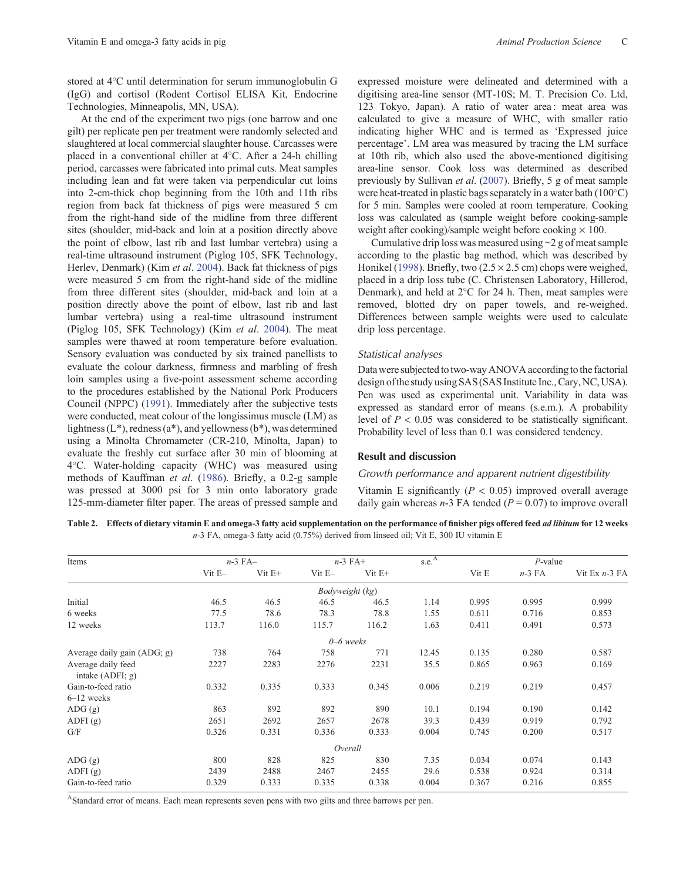<span id="page-2-0"></span>stored at 4 C until determination for serum immunoglobulin G (IgG) and cortisol (Rodent Cortisol ELISA Kit, Endocrine Technologies, Minneapolis, MN, USA).

At the end of the experiment two pigs (one barrow and one gilt) per replicate pen per treatment were randomly selected and slaughtered at local commercial slaughter house. Carcasses were placed in a conventional chiller at 4 C. After a 24-h chilling period, carcasses were fabricated into primal cuts. Meat samples including lean and fat were taken via perpendicular cut loins into 2-cm-thick chop beginning from the 10th and 11th ribs region from back fat thickness of pigs were measured 5 cm from the right-hand side of the midline from three different sites (shoulder, mid-back and loin at a position directly above the point of elbow, last rib and last lumbar vertebra) using a real-time ultrasound instrument (Piglog 105, SFK Technology, Herlev, Denmark) (Kim *et al*. [2004](#page-5-0)). Back fat thickness of pigs were measured 5 cm from the right-hand side of the midline from three different sites (shoulder, mid-back and loin at a position directly above the point of elbow, last rib and last lumbar vertebra) using a real-time ultrasound instrument (Piglog 105, SFK Technology) (Kim *et al*. [2004](#page-5-0)). The meat samples were thawed at room temperature before evaluation. Sensory evaluation was conducted by six trained panellists to evaluate the colour darkness, firmness and marbling of fresh loin samples using a five-point assessment scheme according to the procedures established by the National Pork Producers Council (NPPC) [\(1991](#page-5-0)). Immediately after the subjective tests were conducted, meat colour of the longissimus muscle (LM) as lightness  $(L^*)$ , redness  $(a^*)$ , and yellowness  $(b^*)$ , was determined using a Minolta Chromameter (CR-210, Minolta, Japan) to evaluate the freshly cut surface after 30 min of blooming at 4 C. Water-holding capacity (WHC) was measured using methods of Kauffman *et al*. [\(1986](#page-5-0)). Briefly, a 0.2-g sample was pressed at 3000 psi for 3 min onto laboratory grade 125-mm-diameter filter paper. The areas of pressed sample and expressed moisture were delineated and determined with a digitising area-line sensor (MT-10S; M. T. Precision Co. Ltd, 123 Tokyo, Japan). A ratio of water area : meat area was calculated to give a measure of WHC, with smaller ratio indicating higher WHC and is termed as 'Expressed juice percentage'. LM area was measured by tracing the LM surface at 10th rib, which also used the above-mentioned digitising area-line sensor. Cook loss was determined as described previously by Sullivan *et al*. [\(2007\)](#page-5-0). Briefly, 5 g of meat sample were heat-treated in plastic bags separately in a water bath (100 C) for 5 min. Samples were cooled at room temperature. Cooking loss was calculated as (sample weight before cooking-sample weight after cooking)/sample weight before cooking  $\times$  100.

Cumulative drip loss was measured using ~2 g of meat sample according to the plastic bag method, which was described by Honikel ([1998\)](#page-5-0). Briefly, two  $(2.5 \times 2.5 \text{ cm})$  chops were weighed, placed in a drip loss tube (C. Christensen Laboratory, Hillerod, Denmark), and held at 2 C for 24 h. Then, meat samples were removed, blotted dry on paper towels, and re-weighed. Differences between sample weights were used to calculate drip loss percentage.

#### *Statistical analyses*

Data were subjected to two-way ANOVA according to the factorial design ofthe study using SAS (SAS Institute Inc.,Cary,NC, USA). Pen was used as experimental unit. Variability in data was expressed as standard error of means (s.e.m.). A probability level of  $P < 0.05$  was considered to be statistically significant. Probability level of less than 0.1 was considered tendency.

# **Result and discussion**

## *Growth performance and apparent nutrient digestibility*

Vitamin E significantly  $(P < 0.05)$  improved overall average daily gain whereas  $n-3$  FA tended ( $P = 0.07$ ) to improve overall

**Table 2. Effects of dietary vitamin E and omega-3 fatty acid supplementation on the performance of finisher pigs offered feed** *ad libitum* **for 12 weeks** *n*-3 FA, omega-3 fatty acid (0.75%) derived from linseed oil; Vit E, 300 IU vitamin E

| Items                                    | $n-3$ FA $-$ |             | $n-3$ FA+       |             | s.e. <sup>A</sup> | $P$ -value |          |                 |
|------------------------------------------|--------------|-------------|-----------------|-------------|-------------------|------------|----------|-----------------|
|                                          | $V$ it E $-$ | $V$ it $E+$ | $V$ it E $-$    | $V$ it $E+$ |                   | Vit E      | $n-3$ FA | Vit Ex $n-3$ FA |
|                                          |              |             | Bodyweight (kg) |             |                   |            |          |                 |
| Initial                                  | 46.5         | 46.5        | 46.5            | 46.5        | 1.14              | 0.995      | 0.995    | 0.999           |
| 6 weeks                                  | 77.5         | 78.6        | 78.3            | 78.8        | 1.55              | 0.611      | 0.716    | 0.853           |
| 12 weeks                                 | 113.7        | 116.0       | 115.7           | 116.2       | 1.63              | 0.411      | 0.491    | 0.573           |
|                                          |              |             | $0 - 6$ weeks   |             |                   |            |          |                 |
| Average daily gain (ADG; g)              | 738          | 764         | 758             | 771         | 12.45             | 0.135      | 0.280    | 0.587           |
| Average daily feed<br>intake $(ADFI; g)$ | 2227         | 2283        | 2276            | 2231        | 35.5              | 0.865      | 0.963    | 0.169           |
| Gain-to-feed ratio                       | 0.332        | 0.335       | 0.333           | 0.345       | 0.006             | 0.219      | 0.219    | 0.457           |
| $6-12$ weeks                             |              |             |                 |             |                   |            |          |                 |
| ADG(g)                                   | 863          | 892         | 892             | 890         | 10.1              | 0.194      | 0.190    | 0.142           |
| ADFI(g)                                  | 2651         | 2692        | 2657            | 2678        | 39.3              | 0.439      | 0.919    | 0.792           |
| G/F                                      | 0.326        | 0.331       | 0.336           | 0.333       | 0.004             | 0.745      | 0.200    | 0.517           |
|                                          |              |             | Overall         |             |                   |            |          |                 |
| ADG(g)                                   | 800          | 828         | 825             | 830         | 7.35              | 0.034      | 0.074    | 0.143           |
| ADFI $(g)$                               | 2439         | 2488        | 2467            | 2455        | 29.6              | 0.538      | 0.924    | 0.314           |
| Gain-to-feed ratio                       | 0.329        | 0.333       | 0.335           | 0.338       | 0.004             | 0.367      | 0.216    | 0.855           |

AStandard error of means. Each mean represents seven pens with two gilts and three barrows per pen.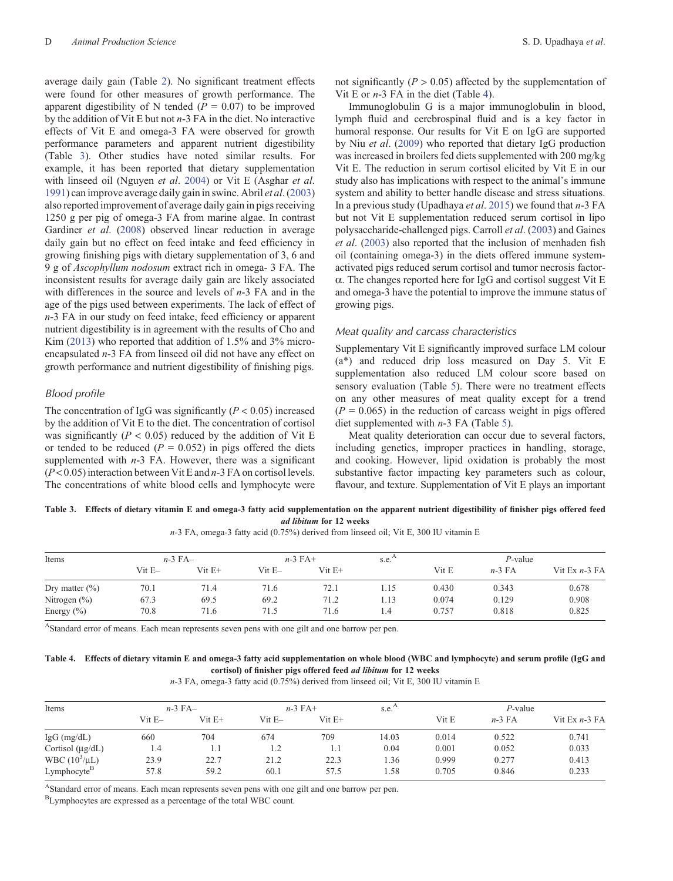average daily gain (Table [2\)](#page-2-0). No significant treatment effects were found for other measures of growth performance. The apparent digestibility of N tended ( $P = 0.07$ ) to be improved by the addition of Vit E but not *n*-3 FA in the diet. No interactive effects of Vit E and omega-3 FA were observed for growth performance parameters and apparent nutrient digestibility (Table 3). Other studies have noted similar results. For example, it has been reported that dietary supplementation with linseed oil (Nguyen *et al*. [2004](#page-5-0)) or Vit E (Asghar *et al*. [1991\)](#page-5-0) can improve average daily gain in swine. Abril *et al*. ([2003\)](#page-4-0) also reported improvement of average daily gain in pigs receiving 1250 g per pig of omega-3 FA from marine algae. In contrast Gardiner *et al*. [\(2008](#page-5-0)) observed linear reduction in average daily gain but no effect on feed intake and feed efficiency in growing finishing pigs with dietary supplementation of 3, 6 and 9 g of *Ascophyllum nodosum* extract rich in omega- 3 FA. The inconsistent results for average daily gain are likely associated with differences in the source and levels of *n*-3 FA and in the age of the pigs used between experiments. The lack of effect of *n*-3 FA in our study on feed intake, feed efficiency or apparent nutrient digestibility is in agreement with the results of Cho and Kim [\(2013\)](#page-5-0) who reported that addition of 1.5% and 3% microencapsulated *n*-3 FA from linseed oil did not have any effect on growth performance and nutrient digestibility of finishing pigs.

# *Blood profile*

The concentration of IgG was significantly  $(P < 0.05)$  increased by the addition of Vit E to the diet. The concentration of cortisol was significantly  $(P < 0.05)$  reduced by the addition of Vit E or tended to be reduced  $(P = 0.052)$  in pigs offered the diets supplemented with *n*-3 FA. However, there was a significant (*P*< 0.05) interaction between Vit E and *n*-3 FA on cortisol levels. The concentrations of white blood cells and lymphocyte were not significantly  $(P > 0.05)$  affected by the supplementation of Vit E or *n*-3 FA in the diet (Table 4).

Immunoglobulin G is a major immunoglobulin in blood, lymph fluid and cerebrospinal fluid and is a key factor in humoral response. Our results for Vit E on IgG are supported by Niu *et al*. [\(2009](#page-5-0)) who reported that dietary IgG production was increased in broilers fed diets supplemented with 200 mg/kg Vit E. The reduction in serum cortisol elicited by Vit E in our study also has implications with respect to the animal's immune system and ability to better handle disease and stress situations. In a previous study (Upadhaya *et al*. [2015](#page-5-0)) we found that *n*-3 FA but not Vit E supplementation reduced serum cortisol in lipo polysaccharide-challenged pigs. Carroll *et al*. [\(2003](#page-5-0)) and Gaines *et al*. [\(2003](#page-5-0)) also reported that the inclusion of menhaden fish oil (containing omega-3) in the diets offered immune systemactivated pigs reduced serum cortisol and tumor necrosis factora. The changes reported here for IgG and cortisol suggest Vit E and omega-3 have the potential to improve the immune status of growing pigs.

# *Meat quality and carcass characteristics*

Supplementary Vit E significantly improved surface LM colour (a\*) and reduced drip loss measured on Day 5. Vit E supplementation also reduced LM colour score based on sensory evaluation (Table [5\)](#page-4-0). There were no treatment effects on any other measures of meat quality except for a trend  $(P = 0.065)$  in the reduction of carcass weight in pigs offered diet supplemented with *n*-3 FA (Table [5\)](#page-4-0).

Meat quality deterioration can occur due to several factors, including genetics, improper practices in handling, storage, and cooking. However, lipid oxidation is probably the most substantive factor impacting key parameters such as colour, flavour, and texture. Supplementation of Vit E plays an important

## **Table 3. Effects of dietary vitamin E and omega-3 fatty acid supplementation on the apparent nutrient digestibility of finisher pigs offered feed** *ad libitum* **for 12 weeks**

*n*-3 FA, omega-3 fatty acid (0.75%) derived from linseed oil; Vit E, 300 IU vitamin E

| Items              |             | $n-3$ FA $-$ |              | $n-3$ FA+   |      | $P$ -value |          |                 |
|--------------------|-------------|--------------|--------------|-------------|------|------------|----------|-----------------|
|                    | $V$ it $E-$ | $V$ it $E+$  | $V$ it E $-$ | $V$ it $E+$ |      | Vit E      | $n-3$ FA | Vit Ex $n-3$ FA |
| Dry matter $(\% )$ | 70.1        | 71.4         | 71.6         | 72.1        | 1.15 | 0.430      | 0.343    | 0.678           |
| Nitrogen $(\%)$    | 67.3        | 69.5         | 69.2         | 71.2        | 1.13 | 0.074      | 0.129    | 0.908           |
| Energy $(\% )$     | 70.8        | 71.6         | 71.5         | 71.6        | 1.4  | 0.757      | 0.818    | 0.825           |

AStandard error of means. Each mean represents seven pens with one gilt and one barrow per pen.

## **Table 4. Effects of dietary vitamin E and omega-3 fatty acid supplementation on whole blood (WBC and lymphocyte) and serum profile (IgG and cortisol) of finisher pigs offered feed** *ad libitum* **for 12 weeks**

*n*-3 FA, omega-3 fatty acid (0.75%) derived from linseed oil; Vit E, 300 IU vitamin E

| Items                   | $n-3$ FA $-$ |             | $n-3$ FA+ |             | $s.e.$ <sup>A</sup> | $P$ -value |          |                 |
|-------------------------|--------------|-------------|-----------|-------------|---------------------|------------|----------|-----------------|
|                         | Vit E-       | $V$ it $E+$ | Vit E-    | $V$ it $E+$ |                     | Vit E      | $n-3$ FA | Vit Ex $n-3$ FA |
| $IgG$ (mg/dL)           | 660          | 704         | 674       | 709         | 14.03               | 0.014      | 0.522    | 0.741           |
| Cortisol $(\mu g/dL)$   | 1.4          |             | 1.2       | 1.1         | 0.04                | 0.001      | 0.052    | 0.033           |
| WBC $(10^3/\mu L)$      | 23.9         | 22.7        | 21.2      | 22.3        | 1.36                | 0.999      | 0.277    | 0.413           |
| Lymphocyte <sup>B</sup> | 57.8         | 59.2        | 60.1      | 57.5        | .58                 | 0.705      | 0.846    | 0.233           |

AStandard error of means. Each mean represents seven pens with one gilt and one barrow per pen.

BLymphocytes are expressed as a percentage of the total WBC count.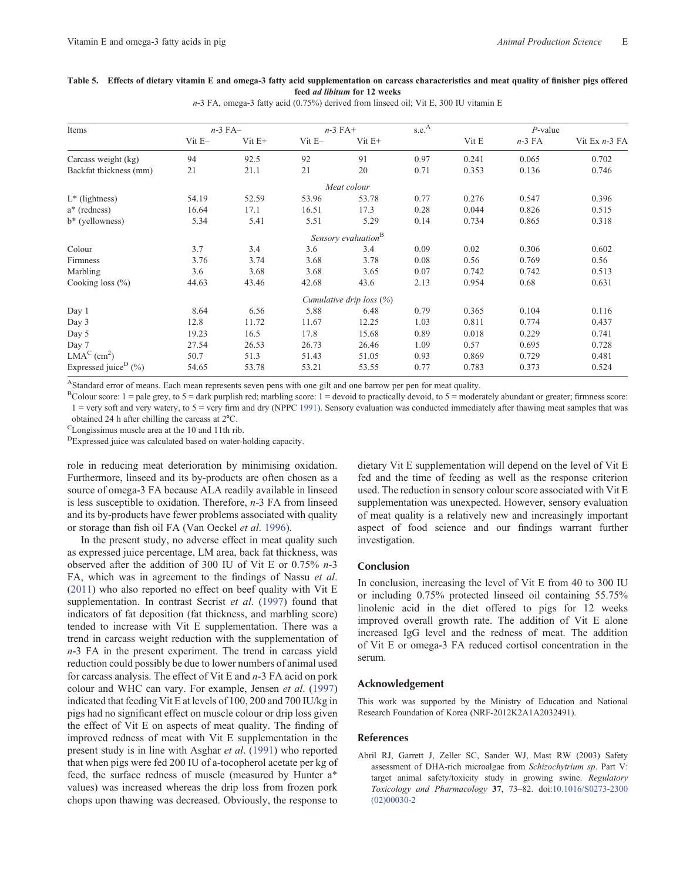## <span id="page-4-0"></span>**Table 5. Effects of dietary vitamin E and omega-3 fatty acid supplementation on carcass characteristics and meat quality of finisher pigs offered feed** *ad libitum* **for 12 weeks**

*n*-3 FA, omega-3 fatty acid (0.75%) derived from linseed oil; Vit E, 300 IU vitamin E

| Items                                | $n-3$ FA $-$ |             |              | $n-3$ FA+                   |      | $P$ -value |          |                 |
|--------------------------------------|--------------|-------------|--------------|-----------------------------|------|------------|----------|-----------------|
|                                      | $V$ it E $-$ | $V$ it $E+$ | $V$ it E $-$ | $V$ it $E+$                 |      | Vit E      | $n-3$ FA | Vit Ex $n-3$ FA |
| Carcass weight (kg)                  | 94           | 92.5        | 92           | 91                          | 0.97 | 0.241      | 0.065    | 0.702           |
| Backfat thickness (mm)               | 21           | 21.1        | 21           | 20                          | 0.71 | 0.353      | 0.136    | 0.746           |
|                                      |              |             |              | Meat colour                 |      |            |          |                 |
| $L^*$ (lightness)                    | 54.19        | 52.59       | 53.96        | 53.78                       | 0.77 | 0.276      | 0.547    | 0.396           |
| a* (redness)                         | 16.64        | 17.1        | 16.51        | 17.3                        | 0.28 | 0.044      | 0.826    | 0.515           |
| b* (yellowness)                      | 5.34         | 5.41        | 5.51         | 5.29                        | 0.14 | 0.734      | 0.865    | 0.318           |
|                                      |              |             |              | Sensory evaluation $B$      |      |            |          |                 |
| Colour                               | 3.7          | 3.4         | 3.6          | 3.4                         | 0.09 | 0.02       | 0.306    | 0.602           |
| Firmness                             | 3.76         | 3.74        | 3.68         | 3.78                        | 0.08 | 0.56       | 0.769    | 0.56            |
| Marbling                             | 3.6          | 3.68        | 3.68         | 3.65                        | 0.07 | 0.742      | 0.742    | 0.513           |
| Cooking loss $(\% )$                 | 44.63        | 43.46       | 42.68        | 43.6                        | 2.13 | 0.954      | 0.68     | 0.631           |
|                                      |              |             |              | Cumulative drip loss $(\%)$ |      |            |          |                 |
| Day 1                                | 8.64         | 6.56        | 5.88         | 6.48                        | 0.79 | 0.365      | 0.104    | 0.116           |
| Day 3                                | 12.8         | 11.72       | 11.67        | 12.25                       | 1.03 | 0.811      | 0.774    | 0.437           |
| Day 5                                | 19.23        | 16.5        | 17.8         | 15.68                       | 0.89 | 0.018      | 0.229    | 0.741           |
| Day 7                                | 27.54        | 26.53       | 26.73        | 26.46                       | 1.09 | 0.57       | 0.695    | 0.728           |
| $LMAC$ (cm <sup>2</sup> )            | 50.7         | 51.3        | 51.43        | 51.05                       | 0.93 | 0.869      | 0.729    | 0.481           |
| Expressed juice <sup>D</sup> $(\%$ ) | 54.65        | 53.78       | 53.21        | 53.55                       | 0.77 | 0.783      | 0.373    | 0.524           |

AStandard error of means. Each mean represents seven pens with one gilt and one barrow per pen for meat quality.

BColour score:  $1 =$  pale grey, to  $5 =$  dark purplish red; marbling score:  $1 =$  devoid to practically devoid, to  $5 =$  moderately abundant or greater; firmness score: 1 = very soft and very watery, to 5 = very firm and dry (NPPC [1991\)](#page-5-0). Sensory evaluation was conducted immediately after thawing meat samples that was

obtained 24 h after chilling the carcass at  $2^{\circ}$ C.<br><sup>C</sup>Longissimus muscle area at the 10 and 11th rib.

DExpressed juice was calculated based on water-holding capacity.

role in reducing meat deterioration by minimising oxidation. Furthermore, linseed and its by-products are often chosen as a source of omega-3 FA because ALA readily available in linseed is less susceptible to oxidation. Therefore, *n*-3 FA from linseed and its by-products have fewer problems associated with quality or storage than fish oil FA (Van Oeckel *et al*. [1996\)](#page-5-0).

In the present study, no adverse effect in meat quality such as expressed juice percentage, LM area, back fat thickness, was observed after the addition of 300 IU of Vit E or 0.75% *n*-3 FA, which was in agreement to the findings of Nassu *et al*. ([2011\)](#page-5-0) who also reported no effect on beef quality with Vit E supplementation. In contrast Secrist *et al*. ([1997\)](#page-5-0) found that indicators of fat deposition (fat thickness, and marbling score) tended to increase with Vit E supplementation. There was a trend in carcass weight reduction with the supplementation of *n*-3 FA in the present experiment. The trend in carcass yield reduction could possibly be due to lower numbers of animal used for carcass analysis. The effect of Vit E and *n*-3 FA acid on pork colour and WHC can vary. For example, Jensen *et al*. ([1997\)](#page-5-0) indicated that feeding Vit E at levels of 100, 200 and 700 IU/kg in pigs had no significant effect on muscle colour or drip loss given the effect of Vit E on aspects of meat quality. The finding of improved redness of meat with Vit E supplementation in the present study is in line with Asghar *et al*. [\(1991](#page-5-0)) who reported that when pigs were fed 200 IU of a-tocopherol acetate per kg of feed, the surface redness of muscle (measured by Hunter a\* values) was increased whereas the drip loss from frozen pork chops upon thawing was decreased. Obviously, the response to

dietary Vit E supplementation will depend on the level of Vit E fed and the time of feeding as well as the response criterion used. The reduction in sensory colour score associated with Vit E supplementation was unexpected. However, sensory evaluation of meat quality is a relatively new and increasingly important aspect of food science and our findings warrant further investigation.

## **Conclusion**

In conclusion, increasing the level of Vit E from 40 to 300 IU or including 0.75% protected linseed oil containing 55.75% linolenic acid in the diet offered to pigs for 12 weeks improved overall growth rate. The addition of Vit E alone increased IgG level and the redness of meat. The addition of Vit E or omega-3 FA reduced cortisol concentration in the serum.

#### **Acknowledgement**

This work was supported by the Ministry of Education and National Research Foundation of Korea (NRF-2012K2A1A2032491).

## **References**

Abril RJ, Garrett J, Zeller SC, Sander WJ, Mast RW (2003) Safety assessment of DHA-rich microalgae from *Schizochytrium sp*. Part V: target animal safety/toxicity study in growing swine. *Regulatory Toxicology and Pharmacology* **37**, 73–82. doi:[10.1016/S0273-2300](dx.doi.org/10.1016/S0273-2300(02)00030-2) [\(02\)00030-2](dx.doi.org/10.1016/S0273-2300(02)00030-2)